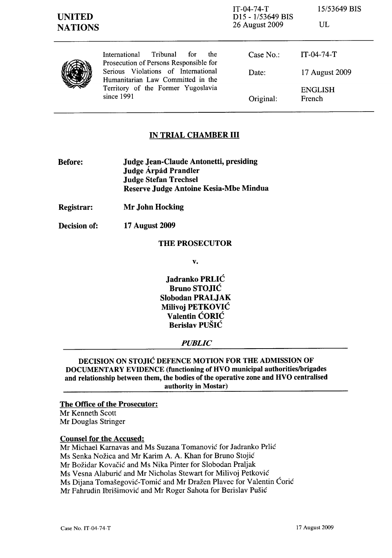IT-04-74-T D15 - 1/53649 BIS 26 August 2009

*15/53649* BIS

| ٦<br>w<br>v |
|-------------|
|-------------|

| U<br>X |
|--------|
|--------|

International Tribunal for the Prosecution of Persons Responsible for Serious Violations of International Humanitarian Law Committed in the Territory of the Former Yugoslavia since 1991

| Case No.: | $IT-04-74-T$             |
|-----------|--------------------------|
| Date:     | 17 August 2009           |
| Original: | <b>ENGLISH</b><br>French |

# IN TRIAL CHAMBER **III**

- Before: Judge Jean-Claude Antonetti, presiding Judge Árpád Prandler Judge Stefan Trechsel Reserve Judge Antoine Kesia-Mbe Mindua
- Registrar: Mr John Hocking
- Decision of: 17 August 2009

## THE PROSECUTOR

v.

Jadranko PRLIC Bruno STOJIC Slobodan PRALJAK Milivoi PETKOVIĆ Valentin CORIC Berislav PUSIC

## *PUBLIC*

DECISION ON STOJIC DEFENCE MOTION FOR THE ADMISSION OF DOCUMENTARY EVIDENCE (functioning of HVO municipal authorities/brigades and relationship between them, the bodies of the operative zone and HVO centralised authority in Mostar)

## The Office of the Prosecutor:

Mr Kenneth Scott Mr Douglas Stringer

## Counsel for the Accused:

Mr Michael Karnavas and Ms Suzana Tomanovic for ladranko Prlic

Ms Senka Nožica and Mr Karim A. A. Khan for Bruno Stojić

Mr Bozidar Kovacic and Ms Nika Pinter for Slobodan Praljak

Ms Vesna Alaburic and Mr Nicholas Stewart for Milivoj Petkovic

Ms Dijana Tomasegovic-Tomic and Mr Drazen Plavec for Valentin Coric

Mr Fahrudin Ibrisimovic and Mr Roger Sahota for Berislav Pusic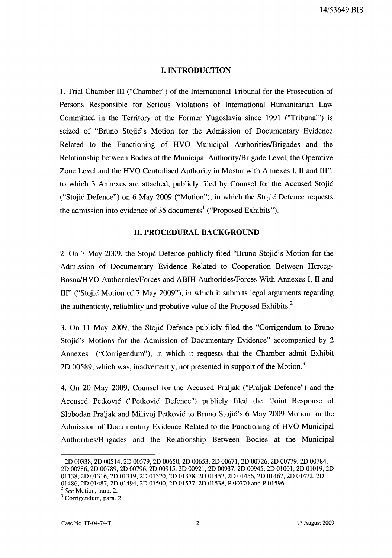#### **I. INTRODUCTION**

1. Trial Chamber III ("Chamber") of the International Tribunal for the Prosecution of Persons Responsible for Serious Violations of International Humanitarian Law Committed in the Territory of the Former Yugoslavia since 1991 ("Tribunal") is seized of "Bruno Stojic's Motion for the Admission of Documentary Evidence Related to the Functioning of HVO Municipal Authorities/Brigades and the Relationship between Bodies at the Municipal Authority/Brigade Level, the Operative Zone Level and the HVO Centralised Authority in Mostar with Annexes I, II and III", to which 3 Annexes are attached, publicly filed by Counsel for the Accused Stojic ("Stojic Defence") on 6 May 2009 ("Motion"), in which the Stojic Defence requests the admission into evidence of 35 documents<sup>1</sup> ("Proposed Exhibits").

## **II. PROCEDURAL BACKGROUND**

2. On 7 May 2009, the Stojić Defence publicly filed "Bruno Stojić's Motion for the Admission of Documentary Evidence Related to Cooperation Between Herceg-Bosna/HVO Authorities/Forces and ABIH Authorities/Forces With Annexes I, II and III" ("Stojic Motion of 7 May 2009"), in which it submits legal arguments regarding the authenticity, reliability and probative value of the Proposed Exhibits.<sup>2</sup>

3. On 11 May 2009, the Stojic Defence publicly filed the "Corrigendum to Bruno Stojić's Motions for the Admission of Documentary Evidence" accompanied by 2 Annexes ("Corrigendum"), in which it requests that the Chamber admit Exhibit 2D 00589, which was, inadvertently, not presented in support of the Motion.<sup>3</sup>

4. On 20 May 2009, Counsel for the Accused Praljak ("Praljak Defence") and the Accused Petkovic ("Petkovic Defence") publicly filed the "Joint Response of Slobodan Praljak and Milivoj Petkovic to Bruno Stojic's 6 May 2009 Motion for the Admission of Documentary Evidence Related to the Functioning of HVO Municipal Authorities/Brigades and the Relationship Between Bodies at the Municipal

<sup>1 2</sup>D 00338, 2D 00514, 2D 00579, 2D 00650, 2D 00653, 2D 00671, 2D 00726, 2D 00779, 2D 00784, 2D 00786, 2D 00789, 2D 00796, 2D 00915, 2D 00921, 2D 00937, 2D 00945, 2D 01001, 2D 01019, 2D 01138, 2D 01316, 2D 01319, 2D 01320, 2D 01378, 2D 01452, 2D 01456, 2D 01467, 2D 01472, 2D

<sup>01486, 2</sup>D 01487, 2D 01494, 2D 01500, 2D 01537, 2D 01538, P 00770 and P 01596.

<sup>2</sup>*See* Motion, para. 2.

<sup>&</sup>lt;sup>3</sup> Corrigendum, para. 2.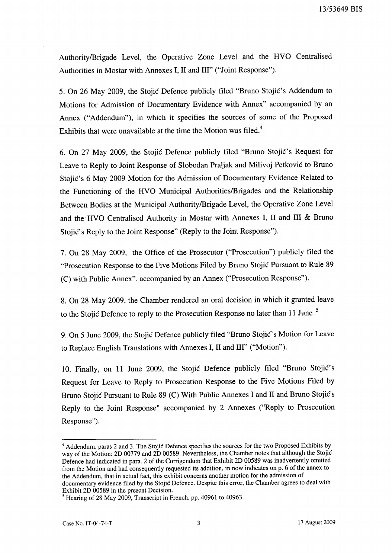AuthoritylBrigade Level, the Operative Zone Level and the HVO Centralised Authorities in Mostar with Annexes I, II and III" ("Joint Response").

5. On 26 May 2009, the Stojic Defence publicly filed "Bruno Stojic's Addendum to Motions for Admission of Documentary Evidence with Annex" accompanied by an Annex ("Addendum"), in which it specifies the sources of some of the Proposed Exhibits that were unavailable at the time the Motion was filed.<sup>4</sup>

6. On 27 May 2009, the Stojic Defence publicly filed "Bruno Stojic's Request for Leave to Reply to Joint Response of Slobodan Praljak and Milivoj Petkovic to Bruno Stojic's 6 May 2009 Motion for the Admission of Documentary Evidence Related to the Functioning of the HVO Municipal Authorities/Brigades and the Relationship Between Bodies at the Municipal Authority/Brigade Level, the Operative Zone Level and the' HVO Centralised Authority in Mostar with Annexes I, II and **III** & Bruno Stojić's Reply to the Joint Response" (Reply to the Joint Response").

7. On 28 May 2009, the Office of the Prosecutor ("Prosecution") publicly filed the "Prosecution Response to the Five Motions Filed by Bruno Stojic Pursuant to Rule 89 (C) with Public Annex", accompanied by an Annex ("Prosecution Response").

8. On 28 May 2009, the Chamber rendered an oral decision in which it granted leave to the Stojic Defence to reply to the Prosecution Response no later than **11** June.<sup>5</sup>

9. On 5 June 2009, the Stojić Defence publicly filed "Bruno Stojić's Motion for Leave to Replace English Translations with Annexes I, II and III" ("Motion").

10. Finally, on 11 June 2009, the Stojic Defence publicly filed "Bruno StojiC's Request for Leave to Reply to Prosecution Response to the Five Motions Filed by Bruno Stojic Pursuant to Rule 89 (C) With Public Annexes I and II and Bruno Stojic's Reply to the Joint Response" accompanied by 2 Annexes ("Reply to Prosecution Response").

<sup>&</sup>lt;sup>4</sup> Addendum, paras 2 and 3. The Stojic Defence specifies the sources for the two Proposed Exhibits by way of the Motion: 2D 00779 and 2D 00589. Nevertheless, the Chamber notes that although the Stojić Defence had indicated in para. 2 of the Corrigendum that Exhibit 2D 00589 was inadvertently omitted from the Motion and had consequently requested its addition, in now indicates on p. 6 of the annex to the Addendum, that in actual fact, this exhibit concerns another motion for the admission of documentary evidence filed by the Stojic Defence. Despite this error, the Chamber agrees to deal with Exhibit 2D 00589 in the present Decision.

 $<sup>5</sup>$  Hearing of 28 May 2009, Transcript in French, pp. 40961 to 40963.</sup>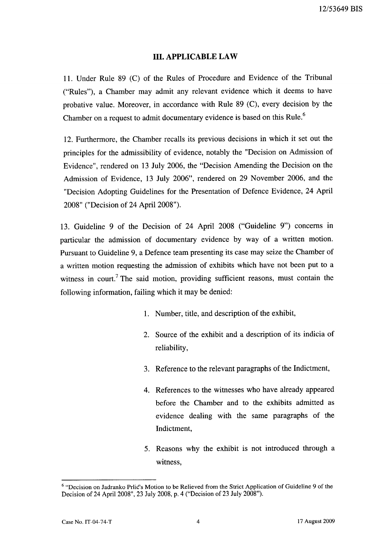# **III. APPLICABLE LAW**

11. Under Rule 89 (C) of the Rules of Procedure and Evidence of the Tribunal ("Rules"), a Chamber may admit any relevant evidence which it deems to have probative value. Moreover, in accordance with Rule 89 (C), every decision by the Chamber on a request to admit documentary evidence is based on this Rule.<sup>6</sup>

12. Furthermore, the Chamber recalls its previous decisions in which it set out the principles for the admissibility of evidence, notably the "Decision on Admission of Evidence", rendered on 13 July 2006, the "Decision Amending the Decision on the Admission of Evidence, 13 July 2006", rendered on 29 November 2006, and the "Decision Adopting Guidelines for the Presentation of Defence Evidence, 24 April 2008" ("Decision of 24 April 2008").

13. Guideline 9 of the Decision of 24 April 2008 ("Guideline 9") concerns in particular the admission of documentary evidence by way of a written motion. Pursuant to Guideline 9, a Defence team presenting its case may seize the Chamber of a written motion requesting the admission of exhibits which have not been put to a witness in court.<sup>7</sup> The said motion, providing sufficient reasons, must contain the following information, failing which it may be denied:

- 1. Number, title, and description of the exhibit,
- 2. Source of the exhibit and a description of its indicia of reliability,
- 3. Reference to the relevant paragraphs of the Indictment,
- 4. References to the witnesses who have already appeared before the Chamber and to the exhibits admitted as evidence dealing with the same paragraphs of the Indictment,
- 5. Reasons why the exhibit is not introduced through a witness,

<sup>6 &</sup>quot;Decision on ladranko Prlic's Motion to be Relieved from the Strict Application of Guideline 9 of the Decision of 24 April 2008", 23 July 2008, p. 4 ("Decision of 23 July 2008").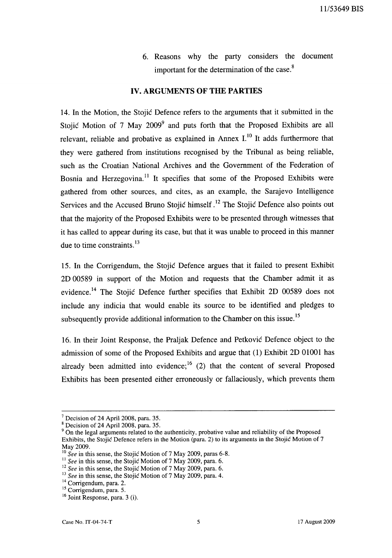6. Reasons why the party considers the document important for the determination of the case.<sup>8</sup>

#### **IV. ARGUMENTS OF THE PARTIES**

14. In the Motion, the Stojic Defence refers to the arguments that it submitted in the Stojić Motion of 7 May  $2009^9$  and puts forth that the Proposed Exhibits are all relevant, reliable and probative as explained in Annex  $I<sup>10</sup>$  It adds furthermore that they were gathered from institutions recognised by the Tribunal as being reliable, such as the Croatian National Archives and the Government of the Federation of Bosnia and Herzegovina.<sup>11</sup> It specifies that some of the Proposed Exhibits were gathered from other sources, and cites, as an example, the Sarajevo Intelligence Services and the Accused Bruno Stojic himself .12 The Stojic Defence also points out that the majority of the Proposed Exhibits were to be presented through witnesses that it has called to appear during its case, but that it was unable to proceed in this manner due to time constraints.<sup>13</sup>

15. In the Corrigendum, the Stojic Defence argues that it failed to present Exhibit 2D 00589 in support of the Motion and requests that the Chamber admit it as evidence. 14 The Stojic Defence further specifies that Exhibit 2D 00589 does not include any indicia that would enable its source to be identified and pledges to subsequently provide additional information to the Chamber on this issue.<sup>15</sup>

16. In their Joint Response, the Praljak Defence and Petkovic Defence object to the admission of some of the Proposed Exhibits and argue that (1) Exhibit 2D 01001 has already been admitted into evidence;  $^{16}$  (2) that the content of several Proposed Exhibits has been presented either erroneously or fallaciously, which prevents them

 $\frac{7}{1}$  Decision of 24 April 2008, para. 35.

 $8$  Decision of 24 April 2008, para. 35.

<sup>&</sup>lt;sup>9</sup> On the legal arguments related to the authenticity, probative value and reliability of the Proposed Exhibits, the Stojic Defence refers in the Motion (para. 2) to its arguments in the Stojic Motion of 7 May 2009.

<sup>10</sup>*See* in this sense, the Stojic Motion of 7 May 2009, paras 6-8.

<sup>&</sup>lt;sup>11</sup> See in this sense, the Stojic Motion of 7 May 2009, para. 6.

<sup>&</sup>lt;sup>12</sup> See in this sense, the Stojic Motion of 7 May 2009, para. 6.

<sup>&</sup>lt;sup>13</sup> See in this sense, the Stojic Motion of 7 May 2009, para. 4.

<sup>&</sup>lt;sup>14</sup> Corrigendum, para. 2.

<sup>15</sup> Corrigendum, para. 5.

<sup>16</sup> Joint Response, para. 3 (i).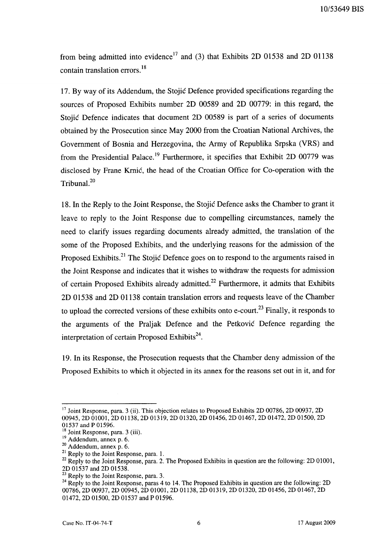10153649 BIS

from being admitted into evidence<sup>17</sup> and (3) that Exhibits 2D 01538 and 2D 01138 contain translation errors.<sup>18</sup>

17. By way of its Addendum, the Stojic Defence provided specifications regarding the sources of Proposed Exhibits number 2D 00589 and 2D 00779: in this regard, the Stojic Defence indicates that document 20 00589 is part of a series of documents obtained by the Prosecution since May 2000 from the Croatian National Archives, the Government of Bosnia and Herzegovina, the Army of Republika Srpska (VRS) and from the Presidential Palace.<sup>19</sup> Furthermore, it specifies that Exhibit 2D 00779 was disclosed by Frane Krnic, the head of the Croatian Office for Co-operation with the Tribunal.<sup>20</sup>

18. In the Reply to the Joint Response, the Stojic Defence asks the Chamber to grant it leave to reply to the Joint Response due to compelling circumstances, namely the need to clarify issues regarding documents already admitted, the translation of the some of the Proposed Exhibits, and the underlying reasons for the admission of the Proposed Exhibits.<sup>21</sup> The Stojic Defence goes on to respond to the arguments raised in the Joint Response and indicates that it wishes to withdraw the requests for admission of certain Proposed Exhibits already admitted.<sup>22</sup> Furthermore, it admits that Exhibits 2D 01538 and 2D 01138 contain translation errors and requests leave of the Chamber to upload the corrected versions of these exhibits onto e-court.<sup>23</sup> Finally, it responds to the arguments of the Praljak Defence and the Petkovic Defence regarding the interpretation of certain Proposed Exhibits<sup>24</sup>.

19. In its Response, the Prosecution requests that the Chamber deny admission of the Proposed Exhibits to which it objected in its annex for the reasons set out in it, and for

 $17$  Joint Response, para. 3 (ii). This objection relates to Proposed Exhibits 2D 00786, 2D 00937, 2D 00945, 2D 01001, 2D 01138, 2D 01319, 2D 01320, 2D 01456, 2D 01467, 2D 01472, 2D 01500, 2D 01537 and P 01596.

 $18$  Joint Response, para. 3 (iii).

 $19$  Addendum, annex p. 6.

 $20$  Addendum, annex p. 6.

<sup>&</sup>lt;sup>21</sup> Reply to the Joint Response, para. 1.

<sup>&</sup>lt;sup>22</sup> Reply to the Joint Response, para. 2. The Proposed Exhibits in question are the following: 2D 01001, 2D 01537 and 2D 01538.

<sup>&</sup>lt;sup>23</sup> Reply to the Joint Response, para. 3.

<sup>&</sup>lt;sup>24</sup> Reply to the Joint Response, paras 4 to 14. The Proposed Exhibits in question are the following: 2D 00786, 2D 00937, 2D 00945, 2D 01001, 2D 01138, 2D 01319, 2D 01320, 2D 01456, 2D 01467, 2D 01472, 2D 01500, 2D 01537 and P 01596.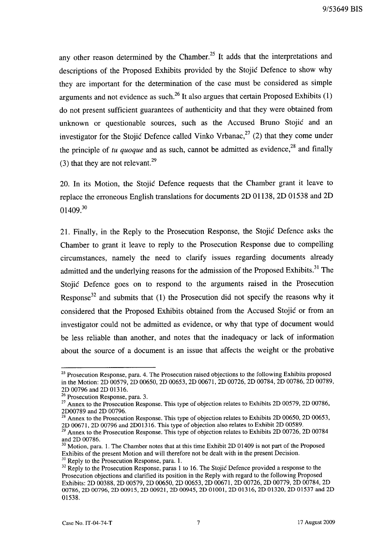any other reason determined by the Chamber.<sup>25</sup> It adds that the interpretations and descriptions of the Proposed Exhibits provided by the Stojic Defence to show why they are important for the determination of the case must be considered as simple arguments and not evidence as such.<sup>26</sup> It also argues that certain Proposed Exhibits  $(1)$ do not present sufficient guarantees of authenticity and that they were obtained from unknown or questionable sources, such as the Accused Bruno Stojic and an investigator for the Stojic Defence called Vinko Vrbanac,<sup>27</sup> (2) that they come under the principle of  $tu$  quoque and as such, cannot be admitted as evidence,<sup>28</sup> and finally (3) that they are not relevant.<sup>29</sup>

20. In its Motion, the Stojic Defence requests that the Chamber grant it leave to replace the erroneous English translations for documents 2D 01138, 2D 01538 and 2D  $01409.<sup>30</sup>$ 

21. Finally, in the Reply to the Prosecution Response, the Stojic Defence asks the Chamber to grant it leave to reply to the Prosecution Response due to compelling circumstances, namely the need to clarify issues regarding documents already admitted and the underlying reasons for the admission of the Proposed Exhibits.<sup>31</sup> The Stojic Defence goes on to respond to the arguments raised in the Prosecution Response<sup>32</sup> and submits that (1) the Prosecution did not specify the reasons why it considered that the Proposed Exhibits obtained from the Accused Stojic or from an investigator could not be admitted as evidence, or why that type of document would be less reliable than another, and notes that the inadequacy or lack of information about the source of a document is an issue that affects the weight or the probative

<sup>&</sup>lt;sup>25</sup> Prosecution Response, para. 4. The Prosecution raised objections to the following Exhibits proposed in the Motion: 2D 00579, 2D 00650, 2D 00653, 2D 00671, 2D 00726, 2D 00784, 2D 00786, 2D 00789, 2D 00796 and 2D 01316.

 $26 \times 100$  and  $25 \times 100$  Prosecution Response, para. 3.

<sup>&</sup>lt;sup>27</sup> Annex to the Prosecution Response. This type of objection relates to Exhibits 2D 00579, 2D 00786, 2D00789 and 2D 00796.

 $^{28}$  Annex to the Prosecution Response. This type of objection relates to Exhibits 2D 00650, 2D 00653, 2D 00671, 2D 00796 and 2D01316. This type of objection also relates to Exhibit 2D 00589.

<sup>&</sup>lt;sup>29</sup> Annex to the Prosecution Response. This type of objection relates to Exhibits 2D 00726, 2D 00784 and 2D 00786.

 $30$  Motion, para. 1. The Chamber notes that at this time Exhibit 2D 01409 is not part of the Proposed Exhibits of the present Motion and will therefore not be dealt with in the present Decision. <sup>31</sup> Reply to the Prosecution Response, para. 1.

<sup>&</sup>lt;sup>32</sup> Reply to the Prosecution Response, paras 1 to 16. The Stojić Defence provided a response to the Prosecution objections and clarified its position in the Reply with regard to the following Proposed Exhibits: 2D 00388, 2D 00579, 2D 00650, 2D 00653, 2D 00671, 2D 00726, 2D 00779, 2D 00784, 2D 00786, 2D 00796, 2D 00915, 2D 00921, 2D 00945, 2D 01001, 2D 01316, 2D 01320, 2D 01537 and 2D 01538.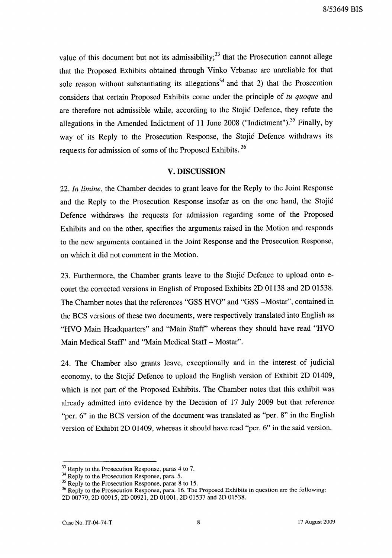value of this document but not its admissibility;  $33$  that the Prosecution cannot allege that the Proposed Exhibits obtained through Vinko Vrbanac are unreliable for that sole reason without substantiating its allegations<sup>34</sup> and that 2) that the Prosecution considers that certain Proposed Exhibits come under the principle of *tu quoque* and are therefore not admissible while, according to the Stojic Defence, they refute the allegations in the Amended Indictment of 11 June 2008 ("Indictment").<sup>35</sup> Finally, by way of its Reply to the Prosecution Response, the Stojic Defence withdraws its requests for admission of some of the Proposed Exhibits.<sup>36</sup>

#### V. DISCUSSION

*22. In limine,* the Chamber decides to grant leave for the Reply to the Joint Response and the Reply to the Prosecution Response insofar as on the one hand, the Stojic Defence withdraws the requests for admission regarding some of the Proposed Exhibits and on the other, specifies the arguments raised in the Motion and responds to the new arguments contained in the Joint Response and the Prosecution Response, on which it did not comment in the Motion.

23. Furthermore, the Chamber grants leave to the Stojic Defence to upload onto ecourt the corrected versions in English of Proposed Exhibits 2D 01138 and 2D 01538. The Chamber notes that the references "GSS HVO" and "GSS -Mostar", contained in the BCS versions of these two documents, were respectively translated into English as "HVO Main Headquarters" and "Main Staff' whereas they should have read "HVO Main Medical Staff" and "Main Medical Staff - Mostar".

24. The Chamber also grants leave, exceptionally and in the interest of judicial economy, to the Stojic Defence to upload the English version of Exhibit 2D 01409, which is not part of the Proposed Exhibits. The Chamber notes that this exhibit was already admitted into evidence by the Decision of 17 July 2009 but that reference "per. 6" in the BCS version of the document was translated as "per. 8" in the English version of Exhibit 2D 01409, whereas it should have read "per. 6" in the said version.

<sup>&</sup>lt;sup>33</sup> Reply to the Prosecution Response, paras 4 to 7.

<sup>&</sup>lt;sup>34</sup> Reply to the Prosecution Response, para. 5.

<sup>&</sup>lt;sup>35</sup> Reply to the Prosecution Response, paras 8 to 15.

<sup>&</sup>lt;sup>36</sup> Reply to the Prosecution Response, para. 16. The Proposed Exhibits in question are the following: 2D 00779, 2D 00915, 2D 00921, 2D 01001, 2D 01537 and 2D 01538.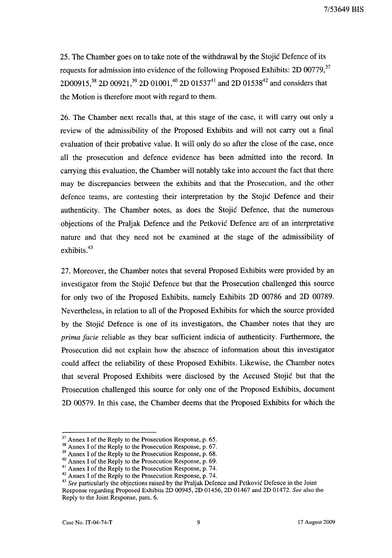25. The Chamber goes on to take note of the withdrawal by the Stojic Defence of its requests for admission into evidence of the following Proposed Exhibits: 2D 00779,  $37$ 2D00915,<sup>38</sup> 2D 00921,<sup>39</sup> 2D 01001,<sup>40</sup> 2D 01537<sup>41</sup> and 2D 01538<sup>42</sup> and considers that the Motion is therefore moot with regard to them.

26. The Chamber next recalls that, at this stage of the case, it will carry out only a review of the admissibility of the Proposed Exhibits and will not carry out a final evaluation of their probative value. It will only do so after the close of the case, once all the prosecution and defence evidence has been admitted into the record. In carrying this evaluation, the Chamber will notably take into account the fact that there may be discrepancies between the exhibits and that the Prosecution, and the other defence teams, are contesting their interpretation by the Stojic Defence and their authenticity. The Chamber notes, as does the Stojic Defence, that the numerous objections of the Praljak Defence and the Petkovic Defence are of an interpretative nature and that they need not be examined at the stage of the admissibility of exhibits.<sup>43</sup>

27. Moreover, the Chamber notes that several Proposed Exhibits were provided by an investigator from the Stojic Defence but that the Prosecution challenged this source for only two of the Proposed Exhibits, namely Exhibits 2D 00786 and 2D 00789. Nevertheless, in relation to all of the Proposed Exhibits for which the source provided by the Stojic Defence is one of its investigators, the Chamber notes that they are *prima facie* reliable as they bear sufficient indicia of authenticity. Furthermore, the Prosecution did not explain how the absence of information about this investigator could affect the reliability of these Proposed Exhibits. Likewise, the Chamber notes that several Proposed Exhibits were disclosed by the Accused Stojic but that the Prosecution challenged this source for only one of the Proposed Exhibits, document 2D 00579. In this case, the Chamber deems that the Proposed Exhibits for which the

<sup>&</sup>lt;sup>37</sup> Annex I of the Reply to the Prosecution Response, p. 65.

<sup>&</sup>lt;sup>38</sup> Annex I of the Reply to the Prosecution Response, p. 67.

<sup>&</sup>lt;sup>39</sup> Annex I of the Reply to the Prosecution Response, p. 68.

<sup>&</sup>lt;sup>40</sup> Annex I of the Reply to the Prosecution Response, p. 69.

<sup>&</sup>lt;sup>41</sup> Annex I of the Reply to the Prosecution Response, p. 74.

<sup>&</sup>lt;sup>42</sup> Annex I of the Reply to the Prosecution Response, p. 74.

<sup>&</sup>lt;sup>43</sup> See particularly the objections raised by the Praljak Defence and Petković Defence in the Joint

Response regarding Proposed Exhibits 2D 00945, 2D 01456, 2D 01467 and 2D 01472. *See* also the Reply to the Joint Response, para. 6.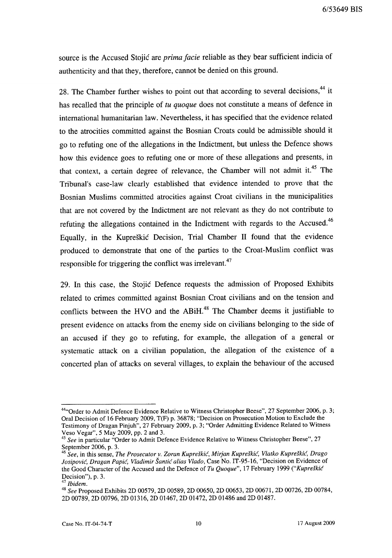source is the Accused Stojic are *prima facie* reliable as they bear sufficient indicia of authenticity and that they, therefore, cannot be denied on this ground.

28. The Chamber further wishes to point out that according to several decisions,<sup>44</sup> it has recalled that the principle of *tu quoque* does not constitute a means of defence in international humanitarian law. Nevertheless, it has specified that the evidence related to the atrocities committed against the Bosnian Croats could be admissible should it go to refuting one of the allegations in the Indictment, but unless the Defence shows how this evidence goes to refuting one or more of these allegations and presents, in that context, a certain degree of relevance, the Chamber will not admit it.<sup>45</sup> The Tribunal's case-law clearly established that evidence intended to prove that the Bosnian Muslims committed atrocities against Croat civilians in the municipalities that are not covered by the Indictment are not relevant as they do not contribute to refuting the allegations contained in the Indictment with regards to the Accused.<sup>46</sup> Equally, in the Kupreskic Decision, Trial Chamber II found that the evidence produced to demonstrate that one of the parties to the Croat-Muslim conflict was responsible for triggering the conflict was irrelevant. $47$ 

29. In this case, the Stojic Defence requests the admission of Proposed Exhibits related to crimes committed against Bosnian Croat civilians and on the tension and conflicts between the HVO and the  $ABiH<sup>48</sup>$ . The Chamber deems it justifiable to present evidence on attacks from the enemy side on civilians belonging to the side of an accused if they go to refuting, for example, the allegation of a general or systematic attack on a civilian population, the allegation of the existence of a concerted plan of attacks on several villages, to explain the behaviour of the accused

<sup>&</sup>lt;sup>44</sup>"Order to Admit Defence Evidence Relative to Witness Christopher Beese", 27 September 2006, p. 3; Oral Decision of 16 February 2009, T(F) p. 36878; "Decision on Prosecution Motion to Exclude the Testimony of Dragan Pinjuh", 27 February 2009, p. 3; "Order Admitting Evidence Related to Witness Veso Vegar", 5 May 2009, pp. 2 and 3.

*<sup>45</sup> See* in particular "Order to Admit Defence Evidence Relative to Witness Christopher Beese", 27 September 2006, p. 3.

<sup>46</sup>*See,* in this sense, *The Prosecutor* v. *Zoran Kupreskic, Mirjan Kuprdkic, Vlatko Kupreskic, Drago iosipovic, Dragan Papic, Vladimir Santic alias Vlado,* Case No. IT-95-16, "Decision on Evidence of the Good Character of the Accused and the Defence of *Tu Quoque*", 17 February 1999 *("Kupreškić* Decision"), p. 3.

<sup>47</sup>*Ibidem.* 

<sup>48</sup>*See* Proposed Exhibits 2D 00579, 2D 00589, 2D 00650, 2D 00653, 2D 00671, 2D 00726, 2D 00784, 2D 00789, 2D 00796, 2D 01316, 2D 01467, 2D 01472, 2D 01486 and 2D 01487.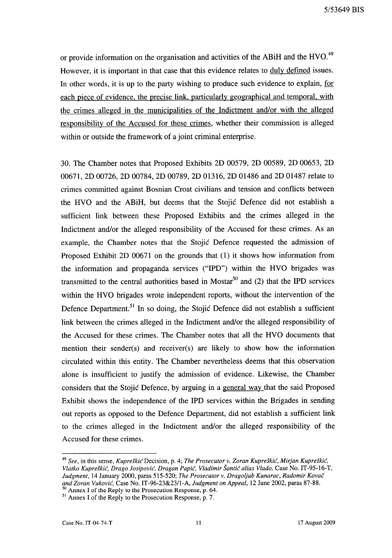or provide information on the organisation and activities of the ABiH and the HVO.<sup>49</sup> However, it is important in that case that this evidence relates to duly defined issues. In other words, it is up to the party wishing to produce such evidence to explain, for each piece of evidence, the precise link, particularly geographical and temporal, with the crimes alleged in the municipalities of the Indictment and/or with the alleged responsibility of the Accused for these crimes, whether their commission is alleged within or outside the framework of a joint criminal enterprise.

30. The Chamber notes that Proposed Exhibits 2D 00579, 2D 00589, 2D 00653, 2D 00671, 2D 00726, 2D 00784, 2D 00789, 2D 01316, 2D 01486 and 2D 01487 relate to crimes committed against Bosnian Croat civilians and tension and conflicts between the HVO and the ABiH, but deems that the Stojic Defence did not establish a sufficient link between these Proposed Exhibits and the crimes alleged in the Indictment and/or the alleged responsibility of the Accused for these crimes. As an example, the Chamber notes that the Stojic Defence requested the admission of Proposed Exhibit 2D 00671 on the grounds that (1) it shows how information from the information and propaganda services ("IPD") within the HVO brigades was transmitted to the central authorities based in Mostar<sup>50</sup> and  $(2)$  that the IPD services within the HVO brigades wrote independent reports, without the intervention of the Defence Department.<sup>51</sup> In so doing, the Stojic Defence did not establish a sufficient link between the crimes alleged in the Indictment and/or the alleged responsibility of the Accused for these crimes. The Chamber notes that all the HVO documents that mention their sender(s) and receiver(s) are likely to show how the information circulated within this entity. The Chamber nevertheless deems that this observation alone is insufficient to justify the admission of evidence. Likewise, the Chamber considers that the Stojic Defence, by arguing in a general way that the said Proposed Exhibit shows the independence of the IPD services within the Brigades in sending out reports as opposed to the Defence Department, did not establish a sufficient link to the crimes alleged in the Indictment and/or the alleged responsibility of the Accused for these crimes.

<sup>&</sup>lt;sup>49</sup> See, in this sense, *Kupreškić* Decision, p. 4; *The Prosecutor v. Zoran Kupreškić, Mirjan Kupreškić, Vlatko Kupreskic, Drago Josipovic, Dragan Papic, Vladimir Santic alias Vlado,* Case No. IT-95-16-T, *Judgment,* 14 January 2000, paras 515-520; *The Prosecutor v. Dragoljub Kunarac, Radomir Kovac and Zoran Vukovic,* Case No. IT-96-23&23/l-A, *Judgment on Appeal,* 12 June 2002, paras 87-88.

<sup>50</sup> Annex I of the Reply to the Prosecution Response, p. 64.  $51$  Annex I of the Reply to the Prosecution Response, p. 7.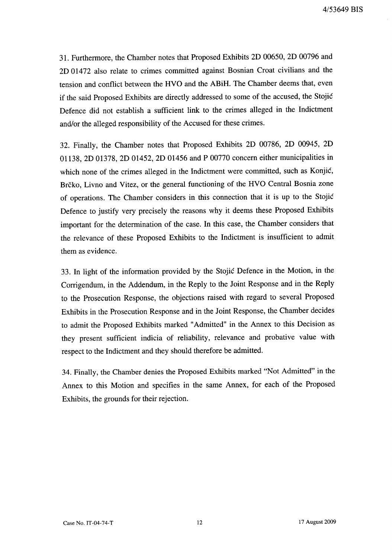31. Furthermore, the Chamber notes that Proposed Exhibits 2D 00650, 2D 00796 and 2D 01472 also relate to crimes committed against Bosnian Croat civilians and the tension and conflict between the HVO and the ABiH. The Chamber deems that, even if the said Proposed Exhibits are directly addressed to some of the accused, the Stojic Defence did not establish a sufficient link to the crimes alleged in the Indictment and/or the alleged responsibility of the Accused for these crimes.

32. Finally, the Chamber notes that Proposed Exhibits 2D 00786, 2D 00945, 2D 01138, 2D 01378, 2D 01452, 2D 01456 and P 00770 concern either municipalities in which none of the crimes alleged in the Indictment were committed, such as Konjić, Brčko, Livno and Vitez, or the general functioning of the HVO Central Bosnia zone of operations. The Chamber considers in this connection that it is up to the Stojic Defence to justify very precisely the reasons why it deems these Proposed Exhibits important for the determination of the case. In this case, the Chamber considers that the relevance of these Proposed Exhibits to the Indictment is insufficient to admit them as evidence.

33. In light of the information provided by the Stojic Defence in the Motion, in the Corrigendum, in the Addendum, in the Reply to the Joint Response and in the Reply to the Prosecution Response, the objections raised with regard to several Proposed Exhibits in the Prosecution Response and in the Joint Response, the Chamber decides to admit the Proposed Exhibits marked "Admitted" in the Annex to this Decision as they present sufficient indicia of reliability, relevance and probative value with respect to the Indictment and they should therefore be admitted.

34. Finally, the Chamber denies the Proposed Exhibits marked "Not Admitted" in the Annex to this Motion and specifies in the same Annex, for each of the Proposed Exhibits, the grounds for their rejection.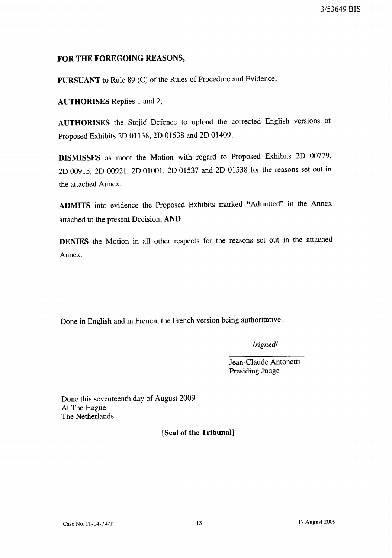# **FOR THE FOREGOING REASONS,**

**PURSUANT** to Rule 89 (C) of the Rules of Procedure and Evidence,

**AUTHORISES** Replies 1 and 2,

**AUTHORISES** the Stojic Defence to upload the corrected English versions of Proposed Exhibits 2D 01l38, 2D 01538 and 2D 01409,

**DISMISSES** as moot the Motion with regard to Proposed Exhibits 2D 00779, 2D 00915, 2D 00921, 2D 01001, 2D 01537 and 2D 01538 for the reasons set out in the attached Annex,

**ADMITS** into evidence the Proposed Exhibits marked "Admitted" in the Annex attached to the present Decision, **AND** 

**DENIES** the Motion in all other respects for the reasons set out in the attached Annex.

Done in English and in French, the French version being authoritative.

*/signedl* 

Jean-Claude Antonetti Presiding Judge

Done this seventeenth day of August 2009 At The Hague The Netherlands

**[Seal of the Tribunal]**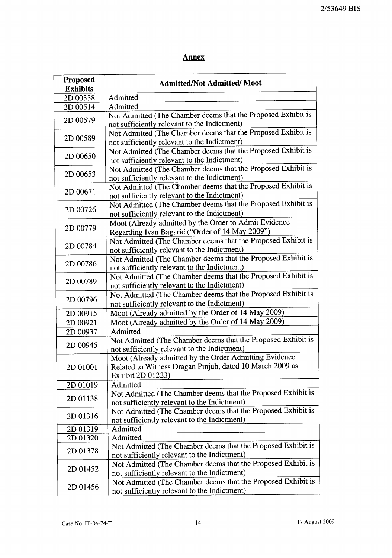# **Annex**

| <b>Proposed</b><br><b>Exhibits</b> | <b>Admitted/Not Admitted/Moot</b>                                                                                                       |
|------------------------------------|-----------------------------------------------------------------------------------------------------------------------------------------|
| 2D 00338                           | Admitted                                                                                                                                |
| 2D 00514                           | Admitted                                                                                                                                |
| 2D 00579                           | Not Admitted (The Chamber deems that the Proposed Exhibit is<br>not sufficiently relevant to the Indictment)                            |
| 2D 00589                           | Not Admitted (The Chamber deems that the Proposed Exhibit is<br>not sufficiently relevant to the Indictment)                            |
| 2D 00650                           | Not Admitted (The Chamber deems that the Proposed Exhibit is<br>not sufficiently relevant to the Indictment)                            |
| 2D 00653                           | Not Admitted (The Chamber deems that the Proposed Exhibit is<br>not sufficiently relevant to the Indictment)                            |
| 2D 00671                           | Not Admitted (The Chamber deems that the Proposed Exhibit is<br>not sufficiently relevant to the Indictment)                            |
| 2D 00726                           | Not Admitted (The Chamber deems that the Proposed Exhibit is<br>not sufficiently relevant to the Indictment)                            |
| 2D 00779                           | Moot (Already admitted by the Order to Admit Evidence<br>Regarding Ivan Bagarić ("Order of 14 May 2009")                                |
| 2D 00784                           | Not Admitted (The Chamber deems that the Proposed Exhibit is<br>not sufficiently relevant to the Indictment)                            |
| 2D 00786                           | Not Admitted (The Chamber deems that the Proposed Exhibit is<br>not sufficiently relevant to the Indictment)                            |
| 2D 00789                           | Not Admitted (The Chamber deems that the Proposed Exhibit is<br>not sufficiently relevant to the Indictment)                            |
| 2D 00796                           | Not Admitted (The Chamber deems that the Proposed Exhibit is<br>not sufficiently relevant to the Indictment)                            |
| 2D 00915                           | Moot (Already admitted by the Order of 14 May 2009)                                                                                     |
| 2D 00921                           | Moot (Already admitted by the Order of 14 May 2009)                                                                                     |
| 2D 00937                           | Admitted                                                                                                                                |
| 2D 00945                           | Not Admitted (The Chamber deems that the Proposed Exhibit is<br>not sufficiently relevant to the Indictment)                            |
| 2D 01001                           | Moot (Already admitted by the Order Admitting Evidence<br>Related to Witness Dragan Pinjuh, dated 10 March 2009 as<br>Exhibit 2D 01223) |
| 2D 01019                           | Admitted                                                                                                                                |
| 2D 01138                           | Not Admitted (The Chamber deems that the Proposed Exhibit is<br>not sufficiently relevant to the Indictment)                            |
| 2D 01316                           | Not Admitted (The Chamber deems that the Proposed Exhibit is<br>not sufficiently relevant to the Indictment)                            |
| 2D 01319                           | Admitted                                                                                                                                |
| 2D 01320                           | Admitted                                                                                                                                |
| 2D 01378                           | Not Admitted (The Chamber deems that the Proposed Exhibit is<br>not sufficiently relevant to the Indictment)                            |
| 2D 01452                           | Not Admitted (The Chamber deems that the Proposed Exhibit is<br>not sufficiently relevant to the Indictment)                            |
| 2D 01456                           | Not Admitted (The Chamber deems that the Proposed Exhibit is<br>not sufficiently relevant to the Indictment)                            |